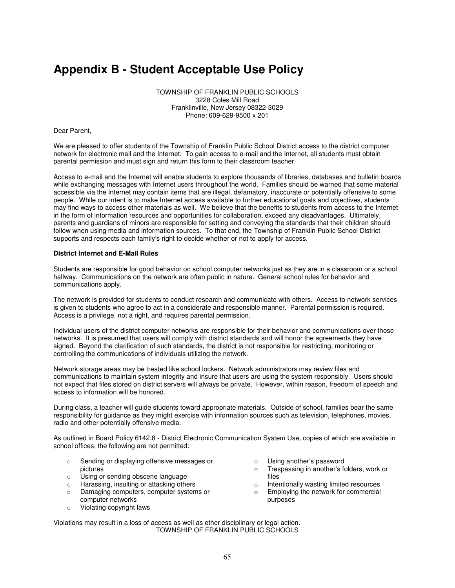## **Appendix B - Student Acceptable Use Policy**

TOWNSHIP OF FRANKLIN PUBLIC SCHOOLS 3228 Coles Mill Road Franklinville, New Jersey 08322-3029 Phone: 609-629-9500 x 201

Dear Parent,

We are pleased to offer students of the Township of Franklin Public School District access to the district computer network for electronic mail and the Internet. To gain access to e-mail and the Internet, all students must obtain parental permission and must sign and return this form to their classroom teacher.

Access to e-mail and the Internet will enable students to explore thousands of libraries, databases and bulletin boards while exchanging messages with Internet users throughout the world. Families should be warned that some material accessible via the Internet may contain items that are illegal, defamatory, inaccurate or potentially offensive to some people. While our intent is to make Internet access available to further educational goals and objectives, students may find ways to access other materials as well. We believe that the benefits to students from access to the Internet in the form of information resources and opportunities for collaboration, exceed any disadvantages. Ultimately, parents and guardians of minors are responsible for setting and conveying the standards that their children should follow when using media and information sources. To that end, the Township of Franklin Public School District supports and respects each family's right to decide whether or not to apply for access.

## **District Internet and E-Mail Rules**

Students are responsible for good behavior on school computer networks just as they are in a classroom or a school hallway. Communications on the network are often public in nature. General school rules for behavior and communications apply.

The network is provided for students to conduct research and communicate with others. Access to network services is given to students who agree to act in a considerate and responsible manner. Parental permission is required. Access is a privilege, not a right, and requires parental permission.

Individual users of the district computer networks are responsible for their behavior and communications over those networks. It is presumed that users will comply with district standards and will honor the agreements they have signed. Beyond the clarification of such standards, the district is not responsible for restricting, monitoring or controlling the communications of individuals utilizing the network.

Network storage areas may be treated like school lockers. Network administrators may review files and communications to maintain system integrity and insure that users are using the system responsibly. Users should not expect that files stored on district servers will always be private. However, within reason, freedom of speech and access to information will be honored.

During class, a teacher will guide students toward appropriate materials. Outside of school, families bear the same responsibility for guidance as they might exercise with information sources such as television, telephones, movies, radio and other potentially offensive media.

As outlined in Board Policy 6142.8 - District Electronic Communication System Use, copies of which are available in school offices, the following are not permitted:

- o Sending or displaying offensive messages or pictures
- o Using or sending obscene language
- o Harassing, insulting or attacking others
- o Damaging computers, computer systems or computer networks
- o Violating copyright laws
- o Using another's password
- o Trespassing in another's folders, work or files
- o Intentionally wasting limited resources
- o Employing the network for commercial purposes

Violations may result in a loss of access as well as other disciplinary or legal action. TOWNSHIP OF FRANKLIN PUBLIC SCHOOLS